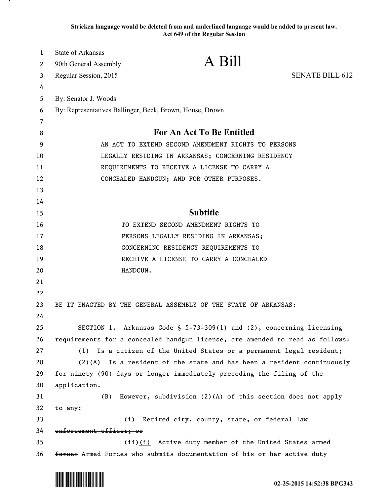**Stricken language would be deleted from and underlined language would be added to present law. Act 649 of the Regular Session**

| $\mathbf{1}$ | <b>State of Arkansas</b>                                                         | A Bill                                                                        |                        |
|--------------|----------------------------------------------------------------------------------|-------------------------------------------------------------------------------|------------------------|
| 2            | 90th General Assembly                                                            |                                                                               |                        |
| 3            | Regular Session, 2015                                                            |                                                                               | <b>SENATE BILL 612</b> |
| 4            |                                                                                  |                                                                               |                        |
| 5            | By: Senator J. Woods<br>By: Representatives Ballinger, Beck, Brown, House, Drown |                                                                               |                        |
| 6            |                                                                                  |                                                                               |                        |
| 7<br>8       |                                                                                  | For An Act To Be Entitled                                                     |                        |
| 9            | AN ACT TO EXTEND SECOND AMENDMENT RIGHTS TO PERSONS                              |                                                                               |                        |
| 10           | LEGALLY RESIDING IN ARKANSAS; CONCERNING RESIDENCY                               |                                                                               |                        |
| 11           | REQUIREMENTS TO RECEIVE A LICENSE TO CARRY A                                     |                                                                               |                        |
| 12           | CONCEALED HANDGUN; AND FOR OTHER PURPOSES.                                       |                                                                               |                        |
| 13           |                                                                                  |                                                                               |                        |
| 14           |                                                                                  |                                                                               |                        |
| 15           | <b>Subtitle</b>                                                                  |                                                                               |                        |
| 16           |                                                                                  | TO EXTEND SECOND AMENDMENT RIGHTS TO                                          |                        |
| 17           | PERSONS LEGALLY RESIDING IN ARKANSAS;                                            |                                                                               |                        |
| 18           | CONCERNING RESIDENCY REQUIREMENTS TO                                             |                                                                               |                        |
| 19           |                                                                                  | RECEIVE A LICENSE TO CARRY A CONCEALED                                        |                        |
| 20           | HANDGUN.                                                                         |                                                                               |                        |
| 21           |                                                                                  |                                                                               |                        |
| 22           |                                                                                  |                                                                               |                        |
| 23           |                                                                                  | BE IT ENACTED BY THE GENERAL ASSEMBLY OF THE STATE OF ARKANSAS:               |                        |
| 24           |                                                                                  |                                                                               |                        |
| 25           |                                                                                  | SECTION 1. Arkansas Code § 5-73-309(1) and (2), concerning licensing          |                        |
| 26           |                                                                                  | requirements for a concealed handgun license, are amended to read as follows: |                        |
| 27           |                                                                                  | (1) Is a citizen of the United States or a permanent legal resident;          |                        |
| 28           |                                                                                  | $(2)(A)$ Is a resident of the state and has been a resident continuously      |                        |
| 29           |                                                                                  | for ninety (90) days or longer immediately preceding the filing of the        |                        |
| 30           | application.                                                                     |                                                                               |                        |
| 31           | (B)                                                                              | However, subdivision (2)(A) of this section does not apply                    |                        |
| 32           | to any:                                                                          |                                                                               |                        |
| 33           |                                                                                  | (i) Retired city, county, state, or federal law                               |                        |
| 34           | enforcement officer; or                                                          |                                                                               |                        |
| 35           |                                                                                  | (ii) (i) Active duty member of the United States armed                        |                        |
| 36           |                                                                                  | forces Armed Forces who submits documentation of his or her active duty       |                        |